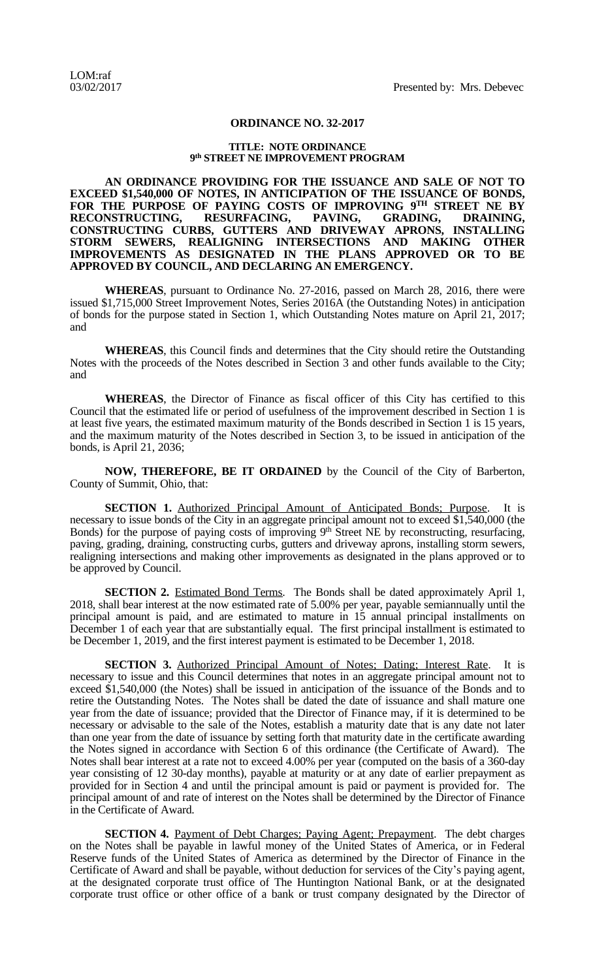## **ORDINANCE NO. 32-2017**

## **TITLE: NOTE ORDINANCE 9 th STREET NE IMPROVEMENT PROGRAM**

**AN ORDINANCE PROVIDING FOR THE ISSUANCE AND SALE OF NOT TO EXCEED \$1,540,000 OF NOTES, IN ANTICIPATION OF THE ISSUANCE OF BONDS, FOR THE PURPOSE OF PAYING COSTS OF IMPROVING 9 TH STREET NE BY RECONSTRUCTING, RESURFACING, PAVING, GRADING, DRAINING, CONSTRUCTING CURBS, GUTTERS AND DRIVEWAY APRONS, INSTALLING STORM SEWERS, REALIGNING INTERSECTIONS AND MAKING OTHER IMPROVEMENTS AS DESIGNATED IN THE PLANS APPROVED OR TO BE APPROVED BY COUNCIL, AND DECLARING AN EMERGENCY.**

**WHEREAS**, pursuant to Ordinance No. 27-2016, passed on March 28, 2016, there were issued \$1,715,000 Street Improvement Notes, Series 2016A (the Outstanding Notes) in anticipation of bonds for the purpose stated in Section 1, which Outstanding Notes mature on April 21, 2017; and

**WHEREAS**, this Council finds and determines that the City should retire the Outstanding Notes with the proceeds of the Notes described in Section 3 and other funds available to the City; and

**WHEREAS**, the Director of Finance as fiscal officer of this City has certified to this Council that the estimated life or period of usefulness of the improvement described in Section 1 is at least five years, the estimated maximum maturity of the Bonds described in Section 1 is 15 years, and the maximum maturity of the Notes described in Section 3, to be issued in anticipation of the bonds, is April 21, 2036;

**NOW, THEREFORE, BE IT ORDAINED** by the Council of the City of Barberton, County of Summit, Ohio, that:

**SECTION 1.** Authorized Principal Amount of Anticipated Bonds; Purpose. It is necessary to issue bonds of the City in an aggregate principal amount not to exceed \$1,540,000 (the Bonds) for the purpose of paying costs of improving 9<sup>th</sup> Street NE by reconstructing, resurfacing, paving, grading, draining, constructing curbs, gutters and driveway aprons, installing storm sewers, realigning intersections and making other improvements as designated in the plans approved or to be approved by Council.

**SECTION 2.** Estimated Bond Terms. The Bonds shall be dated approximately April 1, 2018, shall bear interest at the now estimated rate of 5.00% per year, payable semiannually until the principal amount is paid, and are estimated to mature in 15 annual principal installments on December 1 of each year that are substantially equal. The first principal installment is estimated to be December 1, 2019, and the first interest payment is estimated to be December 1, 2018.

**SECTION 3.** Authorized Principal Amount of Notes; Dating; Interest Rate. It is necessary to issue and this Council determines that notes in an aggregate principal amount not to exceed \$1,540,000 (the Notes) shall be issued in anticipation of the issuance of the Bonds and to retire the Outstanding Notes. The Notes shall be dated the date of issuance and shall mature one year from the date of issuance; provided that the Director of Finance may, if it is determined to be necessary or advisable to the sale of the Notes, establish a maturity date that is any date not later than one year from the date of issuance by setting forth that maturity date in the certificate awarding the Notes signed in accordance with Section 6 of this ordinance (the Certificate of Award). The Notes shall bear interest at a rate not to exceed 4.00% per year (computed on the basis of a 360-day year consisting of 12 30-day months), payable at maturity or at any date of earlier prepayment as provided for in Section 4 and until the principal amount is paid or payment is provided for. The principal amount of and rate of interest on the Notes shall be determined by the Director of Finance in the Certificate of Award.

**SECTION 4.** Payment of Debt Charges; Paying Agent; Prepayment. The debt charges on the Notes shall be payable in lawful money of the United States of America, or in Federal Reserve funds of the United States of America as determined by the Director of Finance in the Certificate of Award and shall be payable, without deduction for services of the City's paying agent, at the designated corporate trust office of The Huntington National Bank, or at the designated corporate trust office or other office of a bank or trust company designated by the Director of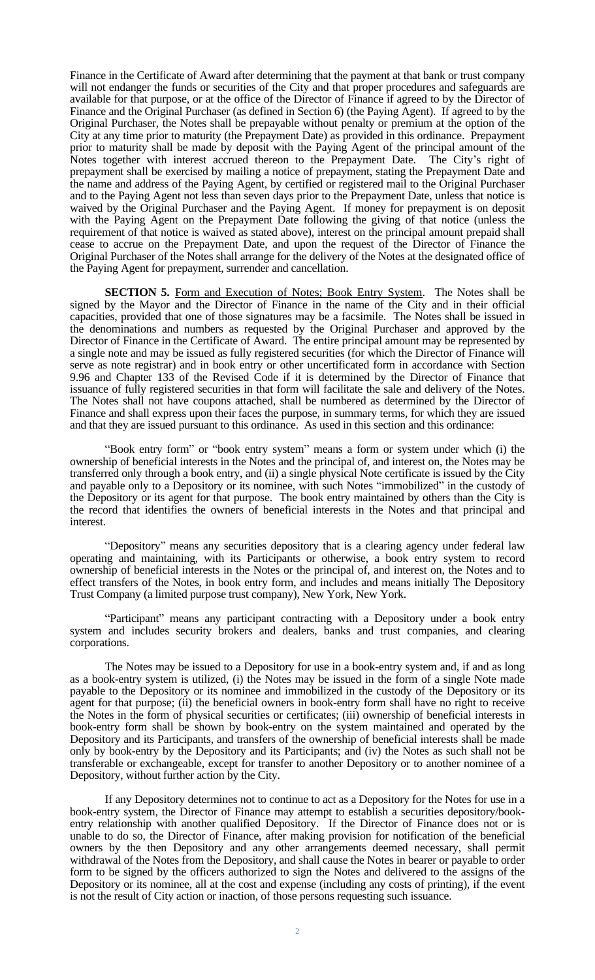Finance in the Certificate of Award after determining that the payment at that bank or trust company will not endanger the funds or securities of the City and that proper procedures and safeguards are available for that purpose, or at the office of the Director of Finance if agreed to by the Director of Finance and the Original Purchaser (as defined in Section 6) (the Paying Agent). If agreed to by the Original Purchaser, the Notes shall be prepayable without penalty or premium at the option of the City at any time prior to maturity (the Prepayment Date) as provided in this ordinance. Prepayment prior to maturity shall be made by deposit with the Paying Agent of the principal amount of the Notes together with interest accrued thereon to the Prepayment Date. The City's right of prepayment shall be exercised by mailing a notice of prepayment, stating the Prepayment Date and the name and address of the Paying Agent, by certified or registered mail to the Original Purchaser and to the Paying Agent not less than seven days prior to the Prepayment Date, unless that notice is waived by the Original Purchaser and the Paying Agent. If money for prepayment is on deposit with the Paying Agent on the Prepayment Date following the giving of that notice (unless the requirement of that notice is waived as stated above), interest on the principal amount prepaid shall cease to accrue on the Prepayment Date, and upon the request of the Director of Finance the Original Purchaser of the Notes shall arrange for the delivery of the Notes at the designated office of the Paying Agent for prepayment, surrender and cancellation.

**SECTION 5.** Form and Execution of Notes; Book Entry System. The Notes shall be signed by the Mayor and the Director of Finance in the name of the City and in their official capacities, provided that one of those signatures may be a facsimile. The Notes shall be issued in the denominations and numbers as requested by the Original Purchaser and approved by the Director of Finance in the Certificate of Award. The entire principal amount may be represented by a single note and may be issued as fully registered securities (for which the Director of Finance will serve as note registrar) and in book entry or other uncertificated form in accordance with Section 9.96 and Chapter 133 of the Revised Code if it is determined by the Director of Finance that issuance of fully registered securities in that form will facilitate the sale and delivery of the Notes. The Notes shall not have coupons attached, shall be numbered as determined by the Director of Finance and shall express upon their faces the purpose, in summary terms, for which they are issued and that they are issued pursuant to this ordinance. As used in this section and this ordinance:

"Book entry form" or "book entry system" means a form or system under which (i) the ownership of beneficial interests in the Notes and the principal of, and interest on, the Notes may be transferred only through a book entry, and (ii) a single physical Note certificate is issued by the City and payable only to a Depository or its nominee, with such Notes "immobilized" in the custody of the Depository or its agent for that purpose. The book entry maintained by others than the City is the record that identifies the owners of beneficial interests in the Notes and that principal and interest.

"Depository" means any securities depository that is a clearing agency under federal law operating and maintaining, with its Participants or otherwise, a book entry system to record ownership of beneficial interests in the Notes or the principal of, and interest on, the Notes and to effect transfers of the Notes, in book entry form, and includes and means initially The Depository Trust Company (a limited purpose trust company), New York, New York.

"Participant" means any participant contracting with a Depository under a book entry system and includes security brokers and dealers, banks and trust companies, and clearing corporations.

The Notes may be issued to a Depository for use in a book-entry system and, if and as long as a book-entry system is utilized, (i) the Notes may be issued in the form of a single Note made payable to the Depository or its nominee and immobilized in the custody of the Depository or its agent for that purpose; (ii) the beneficial owners in book-entry form shall have no right to receive the Notes in the form of physical securities or certificates; (iii) ownership of beneficial interests in book-entry form shall be shown by book-entry on the system maintained and operated by the Depository and its Participants, and transfers of the ownership of beneficial interests shall be made only by book-entry by the Depository and its Participants; and (iv) the Notes as such shall not be transferable or exchangeable, except for transfer to another Depository or to another nominee of a Depository, without further action by the City.

If any Depository determines not to continue to act as a Depository for the Notes for use in a book-entry system, the Director of Finance may attempt to establish a securities depository/bookentry relationship with another qualified Depository. If the Director of Finance does not or is unable to do so, the Director of Finance, after making provision for notification of the beneficial owners by the then Depository and any other arrangements deemed necessary, shall permit withdrawal of the Notes from the Depository, and shall cause the Notes in bearer or payable to order form to be signed by the officers authorized to sign the Notes and delivered to the assigns of the Depository or its nominee, all at the cost and expense (including any costs of printing), if the event is not the result of City action or inaction, of those persons requesting such issuance.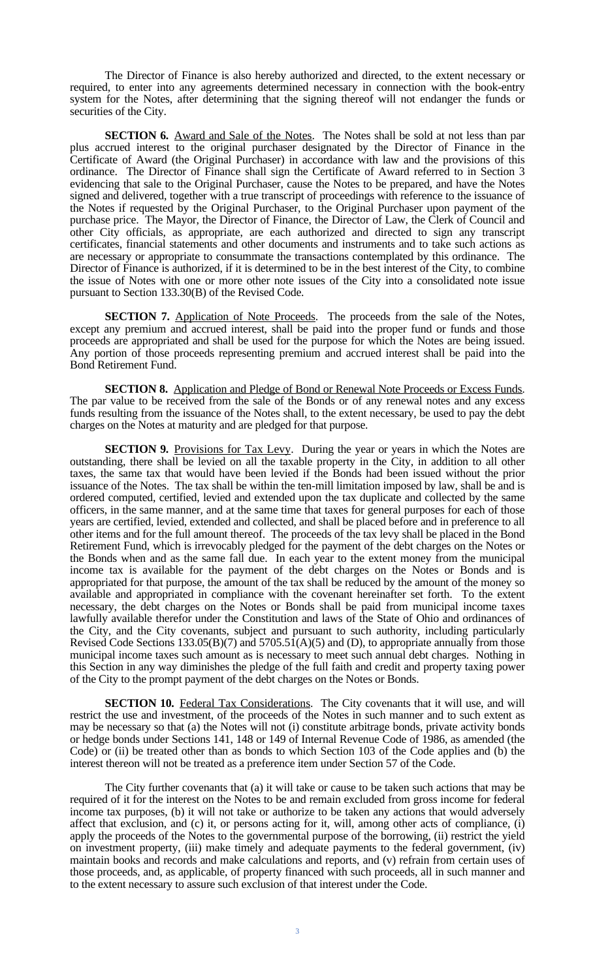The Director of Finance is also hereby authorized and directed, to the extent necessary or required, to enter into any agreements determined necessary in connection with the book-entry system for the Notes, after determining that the signing thereof will not endanger the funds or securities of the City.

**SECTION 6.** Award and Sale of the Notes. The Notes shall be sold at not less than par plus accrued interest to the original purchaser designated by the Director of Finance in the Certificate of Award (the Original Purchaser) in accordance with law and the provisions of this ordinance. The Director of Finance shall sign the Certificate of Award referred to in Section 3 evidencing that sale to the Original Purchaser, cause the Notes to be prepared, and have the Notes signed and delivered, together with a true transcript of proceedings with reference to the issuance of the Notes if requested by the Original Purchaser, to the Original Purchaser upon payment of the purchase price. The Mayor, the Director of Finance, the Director of Law, the Clerk of Council and other City officials, as appropriate, are each authorized and directed to sign any transcript certificates, financial statements and other documents and instruments and to take such actions as are necessary or appropriate to consummate the transactions contemplated by this ordinance. The Director of Finance is authorized, if it is determined to be in the best interest of the City, to combine the issue of Notes with one or more other note issues of the City into a consolidated note issue pursuant to Section 133.30(B) of the Revised Code.

**SECTION 7.** Application of Note Proceeds. The proceeds from the sale of the Notes, except any premium and accrued interest, shall be paid into the proper fund or funds and those proceeds are appropriated and shall be used for the purpose for which the Notes are being issued. Any portion of those proceeds representing premium and accrued interest shall be paid into the Bond Retirement Fund.

**SECTION 8.** Application and Pledge of Bond or Renewal Note Proceeds or Excess Funds. The par value to be received from the sale of the Bonds or of any renewal notes and any excess funds resulting from the issuance of the Notes shall, to the extent necessary, be used to pay the debt charges on the Notes at maturity and are pledged for that purpose.

**SECTION 9.** Provisions for Tax Levy. During the year or years in which the Notes are outstanding, there shall be levied on all the taxable property in the City, in addition to all other taxes, the same tax that would have been levied if the Bonds had been issued without the prior issuance of the Notes. The tax shall be within the ten-mill limitation imposed by law, shall be and is ordered computed, certified, levied and extended upon the tax duplicate and collected by the same officers, in the same manner, and at the same time that taxes for general purposes for each of those years are certified, levied, extended and collected, and shall be placed before and in preference to all other items and for the full amount thereof. The proceeds of the tax levy shall be placed in the Bond Retirement Fund, which is irrevocably pledged for the payment of the debt charges on the Notes or the Bonds when and as the same fall due. In each year to the extent money from the municipal income tax is available for the payment of the debt charges on the Notes or Bonds and is appropriated for that purpose, the amount of the tax shall be reduced by the amount of the money so available and appropriated in compliance with the covenant hereinafter set forth. To the extent necessary, the debt charges on the Notes or Bonds shall be paid from municipal income taxes lawfully available therefor under the Constitution and laws of the State of Ohio and ordinances of the City, and the City covenants, subject and pursuant to such authority, including particularly Revised Code Sections 133.05(B)(7) and 5705.51(A)(5) and (D), to appropriate annually from those municipal income taxes such amount as is necessary to meet such annual debt charges. Nothing in this Section in any way diminishes the pledge of the full faith and credit and property taxing power of the City to the prompt payment of the debt charges on the Notes or Bonds.

**SECTION 10.** Federal Tax Considerations. The City covenants that it will use, and will restrict the use and investment, of the proceeds of the Notes in such manner and to such extent as may be necessary so that (a) the Notes will not (i) constitute arbitrage bonds, private activity bonds or hedge bonds under Sections 141, 148 or 149 of Internal Revenue Code of 1986, as amended (the Code) or (ii) be treated other than as bonds to which Section 103 of the Code applies and (b) the interest thereon will not be treated as a preference item under Section 57 of the Code.

The City further covenants that (a) it will take or cause to be taken such actions that may be required of it for the interest on the Notes to be and remain excluded from gross income for federal income tax purposes, (b) it will not take or authorize to be taken any actions that would adversely affect that exclusion, and (c) it, or persons acting for it, will, among other acts of compliance, (i) apply the proceeds of the Notes to the governmental purpose of the borrowing, (ii) restrict the yield on investment property, (iii) make timely and adequate payments to the federal government, (iv) maintain books and records and make calculations and reports, and (v) refrain from certain uses of those proceeds, and, as applicable, of property financed with such proceeds, all in such manner and to the extent necessary to assure such exclusion of that interest under the Code.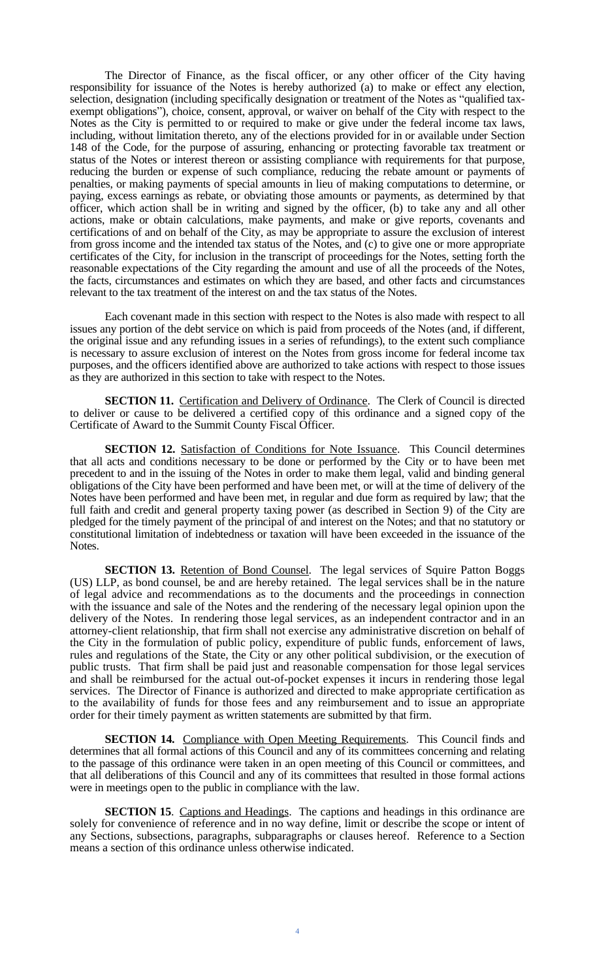The Director of Finance, as the fiscal officer, or any other officer of the City having responsibility for issuance of the Notes is hereby authorized (a) to make or effect any election, selection, designation (including specifically designation or treatment of the Notes as "qualified taxexempt obligations"), choice, consent, approval, or waiver on behalf of the City with respect to the Notes as the City is permitted to or required to make or give under the federal income tax laws, including, without limitation thereto, any of the elections provided for in or available under Section 148 of the Code, for the purpose of assuring, enhancing or protecting favorable tax treatment or status of the Notes or interest thereon or assisting compliance with requirements for that purpose, reducing the burden or expense of such compliance, reducing the rebate amount or payments of penalties, or making payments of special amounts in lieu of making computations to determine, or paying, excess earnings as rebate, or obviating those amounts or payments, as determined by that officer, which action shall be in writing and signed by the officer, (b) to take any and all other actions, make or obtain calculations, make payments, and make or give reports, covenants and certifications of and on behalf of the City, as may be appropriate to assure the exclusion of interest from gross income and the intended tax status of the Notes, and (c) to give one or more appropriate certificates of the City, for inclusion in the transcript of proceedings for the Notes, setting forth the reasonable expectations of the City regarding the amount and use of all the proceeds of the Notes, the facts, circumstances and estimates on which they are based, and other facts and circumstances relevant to the tax treatment of the interest on and the tax status of the Notes.

Each covenant made in this section with respect to the Notes is also made with respect to all issues any portion of the debt service on which is paid from proceeds of the Notes (and, if different, the original issue and any refunding issues in a series of refundings), to the extent such compliance is necessary to assure exclusion of interest on the Notes from gross income for federal income tax purposes, and the officers identified above are authorized to take actions with respect to those issues as they are authorized in this section to take with respect to the Notes.

**SECTION 11.** Certification and Delivery of Ordinance. The Clerk of Council is directed to deliver or cause to be delivered a certified copy of this ordinance and a signed copy of the Certificate of Award to the Summit County Fiscal Officer.

**SECTION 12.** Satisfaction of Conditions for Note Issuance. This Council determines that all acts and conditions necessary to be done or performed by the City or to have been met precedent to and in the issuing of the Notes in order to make them legal, valid and binding general obligations of the City have been performed and have been met, or will at the time of delivery of the Notes have been performed and have been met, in regular and due form as required by law; that the full faith and credit and general property taxing power (as described in Section 9) of the City are pledged for the timely payment of the principal of and interest on the Notes; and that no statutory or constitutional limitation of indebtedness or taxation will have been exceeded in the issuance of the Notes.

**SECTION 13.** Retention of Bond Counsel. The legal services of Squire Patton Boggs (US) LLP, as bond counsel, be and are hereby retained. The legal services shall be in the nature of legal advice and recommendations as to the documents and the proceedings in connection with the issuance and sale of the Notes and the rendering of the necessary legal opinion upon the delivery of the Notes. In rendering those legal services, as an independent contractor and in an attorney-client relationship, that firm shall not exercise any administrative discretion on behalf of the City in the formulation of public policy, expenditure of public funds, enforcement of laws, rules and regulations of the State, the City or any other political subdivision, or the execution of public trusts. That firm shall be paid just and reasonable compensation for those legal services and shall be reimbursed for the actual out-of-pocket expenses it incurs in rendering those legal services. The Director of Finance is authorized and directed to make appropriate certification as to the availability of funds for those fees and any reimbursement and to issue an appropriate order for their timely payment as written statements are submitted by that firm.

**SECTION 14.** Compliance with Open Meeting Requirements. This Council finds and determines that all formal actions of this Council and any of its committees concerning and relating to the passage of this ordinance were taken in an open meeting of this Council or committees, and that all deliberations of this Council and any of its committees that resulted in those formal actions were in meetings open to the public in compliance with the law.

**SECTION 15**. Captions and Headings. The captions and headings in this ordinance are solely for convenience of reference and in no way define, limit or describe the scope or intent of any Sections, subsections, paragraphs, subparagraphs or clauses hereof. Reference to a Section means a section of this ordinance unless otherwise indicated.